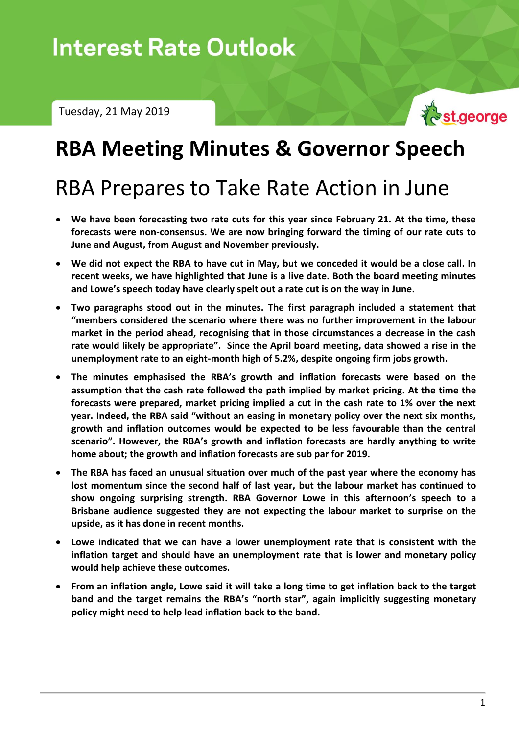Tuesday, 21 May 2019



# **RBA Meeting Minutes & Governor Speech**

# RBA Prepares to Take Rate Action in June

- **We have been forecasting two rate cuts for this year since February 21. At the time, these forecasts were non-consensus. We are now bringing forward the timing of our rate cuts to June and August, from August and November previously.**
- **We did not expect the RBA to have cut in May, but we conceded it would be a close call. In recent weeks, we have highlighted that June is a live date. Both the board meeting minutes and Lowe's speech today have clearly spelt out a rate cut is on the way in June.**
- **Two paragraphs stood out in the minutes. The first paragraph included a statement that "members considered the scenario where there was no further improvement in the labour market in the period ahead, recognising that in those circumstances a decrease in the cash rate would likely be appropriate". Since the April board meeting, data showed a rise in the unemployment rate to an eight-month high of 5.2%, despite ongoing firm jobs growth.**
- **The minutes emphasised the RBA's growth and inflation forecasts were based on the assumption that the cash rate followed the path implied by market pricing. At the time the forecasts were prepared, market pricing implied a cut in the cash rate to 1% over the next year. Indeed, the RBA said "without an easing in monetary policy over the next six months, growth and inflation outcomes would be expected to be less favourable than the central scenario". However, the RBA's growth and inflation forecasts are hardly anything to write home about; the growth and inflation forecasts are sub par for 2019.**
- **The RBA has faced an unusual situation over much of the past year where the economy has lost momentum since the second half of last year, but the labour market has continued to show ongoing surprising strength. RBA Governor Lowe in this afternoon's speech to a Brisbane audience suggested they are not expecting the labour market to surprise on the upside, as it has done in recent months.**
- **Lowe indicated that we can have a lower unemployment rate that is consistent with the inflation target and should have an unemployment rate that is lower and monetary policy would help achieve these outcomes.**
- **From an inflation angle, Lowe said it will take a long time to get inflation back to the target band and the target remains the RBA's "north star", again implicitly suggesting monetary policy might need to help lead inflation back to the band.**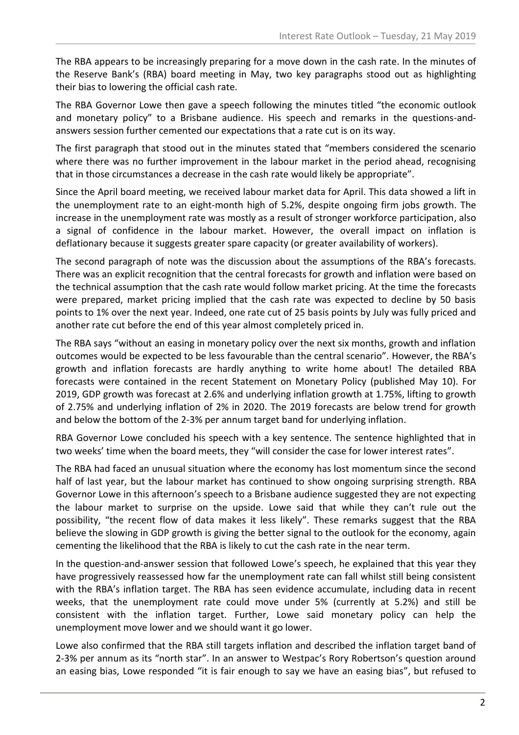The RBA appears to be increasingly preparing for a move down in the cash rate. In the minutes of the Reserve Bank's (RBA) board meeting in May, two key paragraphs stood out as highlighting their bias to lowering the official cash rate.

The RBA Governor Lowe then gave a speech following the minutes titled "the economic outlook and monetary policy" to a Brisbane audience. His speech and remarks in the questions-andanswers session further cemented our expectations that a rate cut is on its way.

The first paragraph that stood out in the minutes stated that "members considered the scenario where there was no further improvement in the labour market in the period ahead, recognising that in those circumstances a decrease in the cash rate would likely be appropriate".

Since the April board meeting, we received labour market data for April. This data showed a lift in the unemployment rate to an eight-month high of 5.2%, despite ongoing firm jobs growth. The increase in the unemployment rate was mostly as a result of stronger workforce participation, also a signal of confidence in the labour market. However, the overall impact on inflation is deflationary because it suggests greater spare capacity (or greater availability of workers).

The second paragraph of note was the discussion about the assumptions of the RBA's forecasts. There was an explicit recognition that the central forecasts for growth and inflation were based on the technical assumption that the cash rate would follow market pricing. At the time the forecasts were prepared, market pricing implied that the cash rate was expected to decline by 50 basis points to 1% over the next year. Indeed, one rate cut of 25 basis points by July was fully priced and another rate cut before the end of this year almost completely priced in.

The RBA says "without an easing in monetary policy over the next six months, growth and inflation outcomes would be expected to be less favourable than the central scenario". However, the RBA's growth and inflation forecasts are hardly anything to write home about! The detailed RBA forecasts were contained in the recent Statement on Monetary Policy (published May 10). For 2019, GDP growth was forecast at 2.6% and underlying inflation growth at 1.75%, lifting to growth of 2.75% and underlying inflation of 2% in 2020. The 2019 forecasts are below trend for growth and below the bottom of the 2-3% per annum target band for underlying inflation.

RBA Governor Lowe concluded his speech with a key sentence. The sentence highlighted that in two weeks' time when the board meets, they "will consider the case for lower interest rates".

The RBA had faced an unusual situation where the economy has lost momentum since the second half of last year, but the labour market has continued to show ongoing surprising strength. RBA Governor Lowe in this afternoon's speech to a Brisbane audience suggested they are not expecting the labour market to surprise on the upside. Lowe said that while they can't rule out the possibility, "the recent flow of data makes it less likely". These remarks suggest that the RBA believe the slowing in GDP growth is giving the better signal to the outlook for the economy, again cementing the likelihood that the RBA is likely to cut the cash rate in the near term.

In the question-and-answer session that followed Lowe's speech, he explained that this year they have progressively reassessed how far the unemployment rate can fall whilst still being consistent with the RBA's inflation target. The RBA has seen evidence accumulate, including data in recent weeks, that the unemployment rate could move under 5% (currently at 5.2%) and still be consistent with the inflation target. Further, Lowe said monetary policy can help the unemployment move lower and we should want it go lower.

Lowe also confirmed that the RBA still targets inflation and described the inflation target band of 2-3% per annum as its "north star". In an answer to Westpac's Rory Robertson's question around an easing bias, Lowe responded "it is fair enough to say we have an easing bias", but refused to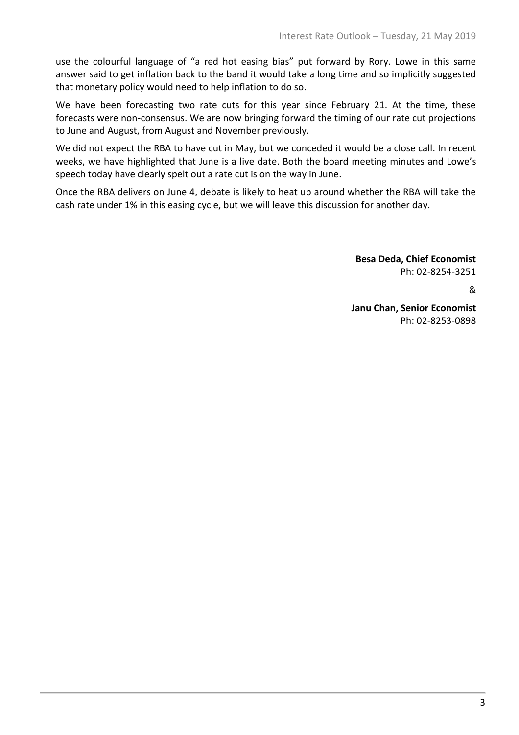use the colourful language of "a red hot easing bias" put forward by Rory. Lowe in this same answer said to get inflation back to the band it would take a long time and so implicitly suggested that monetary policy would need to help inflation to do so.

We have been forecasting two rate cuts for this year since February 21. At the time, these forecasts were non-consensus. We are now bringing forward the timing of our rate cut projections to June and August, from August and November previously.

We did not expect the RBA to have cut in May, but we conceded it would be a close call. In recent weeks, we have highlighted that June is a live date. Both the board meeting minutes and Lowe's speech today have clearly spelt out a rate cut is on the way in June.

Once the RBA delivers on June 4, debate is likely to heat up around whether the RBA will take the cash rate under 1% in this easing cycle, but we will leave this discussion for another day.

> **Besa Deda, Chief Economist** Ph: 02-8254-3251

> > &

**Janu Chan, Senior Economist** Ph: 02-8253-0898